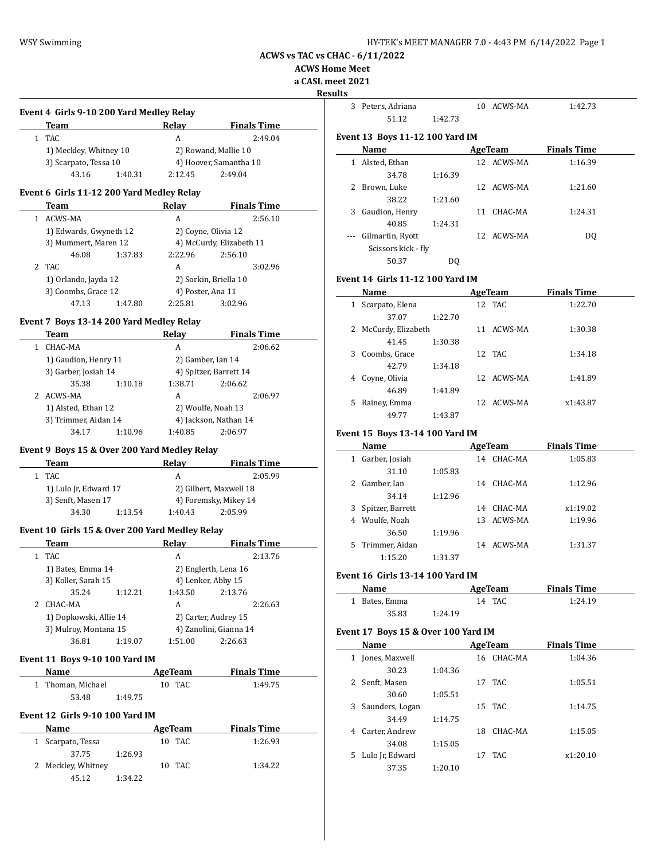**ACWS Home Meet**

**a CASL meet 2021**

**Results**

 $\overline{\phantom{0}}$ 

 $\overline{\phantom{0}}$ 

| Team                   |         | Relav   | <b>Finals Time</b>     |
|------------------------|---------|---------|------------------------|
| TAC                    |         | A       | 2:49.04                |
| 1) Meckley, Whitney 10 |         |         | 2) Rowand, Mallie 10   |
| 3) Scarpato, Tessa 10  |         |         | 4) Hoover, Samantha 10 |
| 43.16                  | 1:40.31 | 2:12.45 | 2:49.04                |

#### **Event 6 Girls 11-12 200 Yard Medley Relay**

|  | Team                                        |         | Relav             | <b>Finals Time</b>       |         |
|--|---------------------------------------------|---------|-------------------|--------------------------|---------|
|  | ACWS-MA                                     |         | A                 |                          | 2:56.10 |
|  | 1) Edwards, Gwyneth 12                      |         |                   | 2) Coyne, Olivia 12      |         |
|  | 3) Mummert, Maren 12                        |         |                   | 4) McCurdy, Elizabeth 11 |         |
|  | 46.08                                       | 1:37.83 | 2:22.96           | 2:56.10                  |         |
|  | 2 TAC                                       |         | A                 |                          | 3:02.96 |
|  | 1) Orlando, Jayda 12<br>3) Coombs, Grace 12 |         |                   | 2) Sorkin, Briella 10    |         |
|  |                                             |         | 4) Poster, Ana 11 |                          |         |
|  | 47.13                                       | 1:47.80 | 2:25.81           | 3:02.96                  |         |

### **Event 7 Boys 13-14 200 Yard Medley Relay**

| Team                                        |           | Relay                  | <b>Finals Time</b> |
|---------------------------------------------|-----------|------------------------|--------------------|
| CHAC-MA                                     |           | A                      | 2:06.62            |
|                                             |           | 2) Gamber, Ian 14      |                    |
| 3) Garber, Josiah 14                        |           | 4) Spitzer, Barrett 14 |                    |
| 35.38                                       | 1:10.18   | 1:38.71                | 2:06.62            |
|                                             |           | A                      | 2:06.97            |
| 1) Alsted, Ethan 12<br>3) Trimmer, Aidan 14 |           | 2) Woulfe, Noah 13     |                    |
|                                             |           | 4) Jackson, Nathan 14  |                    |
| 34.17                                       | 1:10.96   | 1:40.85                | 2:06.97            |
|                                             | 2 ACWS-MA | 1) Gaudion, Henry 11   |                    |

### **Event 9 Boys 15 & Over 200 Yard Medley Relay**

 $\overline{a}$ 

| Team  |                       |         | <b>Finals Time</b>     |
|-------|-----------------------|---------|------------------------|
| 1 TAC |                       |         | 2:05.99                |
|       | 1) Lulo Jr, Edward 17 |         | 2) Gilbert, Maxwell 18 |
|       | 3) Senft, Masen 17    |         | 4) Foremsky, Mikey 14  |
| 34.30 | 1:13.54               | 1:40.43 | 2.05.99                |

### **Event 10 Girls 15 & Over 200 Yard Medley Relay**

|    | Team                                            |         | Relav   | <b>Finals Time</b>     |
|----|-------------------------------------------------|---------|---------|------------------------|
|    | TAC                                             |         | A       | 2:13.76                |
|    | 1) Bates, Emma 14                               |         |         | 2) Englerth, Lena 16   |
|    | 3) Koller, Sarah 15                             |         |         | 4) Lenker, Abby 15     |
|    | 35.24                                           | 1:12.21 | 1:43.50 | 2:13.76                |
| 2. | CHAC-MA                                         |         | A       | 2:26.63                |
|    | 1) Dopkowski, Allie 14<br>3) Mulroy, Montana 15 |         |         | 2) Carter, Audrey 15   |
|    |                                                 |         |         | 4) Zanolini, Gianna 14 |
|    | 36.81                                           | 1:19.07 | 1:51.00 | 2:26.63                |

#### **Event 11 Boys 9-10 100 Yard IM**

| Name              |         | AgeTeam | <b>Finals Time</b> |
|-------------------|---------|---------|--------------------|
| 1 Thoman, Michael |         | 10 TAC  | 1:49.75            |
| 53.48             | 1:49.75 |         |                    |

### **Event 12 Girls 9-10 100 Yard IM**

| Name               |         | AgeTeam | <b>Finals Time</b> |
|--------------------|---------|---------|--------------------|
| 1 Scarpato, Tessa  |         | 10 TAC  | 1:26.93            |
| 37.75              | 1:26.93 |         |                    |
| 2 Meckley, Whitney |         | 10 TAC  | 1:34.22            |
| 45.12              | 1:34.22 |         |                    |

| 3            | Peters, Adriana                        |         | 10 | ACWS-MA        | 1:42.73            |  |
|--------------|----------------------------------------|---------|----|----------------|--------------------|--|
|              | 51.12                                  | 1:42.73 |    |                |                    |  |
|              | <b>Event 13 Boys 11-12 100 Yard IM</b> |         |    |                |                    |  |
|              | Name                                   |         |    | <b>AgeTeam</b> | <b>Finals Time</b> |  |
| $\mathbf{1}$ | Alsted, Ethan                          |         |    | 12 ACWS-MA     | 1:16.39            |  |
|              | 34.78                                  | 1:16.39 |    |                |                    |  |
| 2            | Brown, Luke                            |         |    | 12 ACWS-MA     | 1:21.60            |  |
|              | 38.22                                  | 1:21.60 |    |                |                    |  |
| 3            | Gaudion, Henry                         |         | 11 | CHAC-MA        | 1:24.31            |  |
|              | 40.85                                  | 1:24.31 |    |                |                    |  |
|              | Gilmartin, Ryott                       |         |    | 12 ACWS-MA     | DQ                 |  |
|              | Scissors kick - fly                    |         |    |                |                    |  |
|              | 50.37                                  | DO      |    |                |                    |  |
|              |                                        |         |    |                |                    |  |

### **Event 14 Girls 11-12 100 Yard IM**

|   | Name               |         |    | AgeTeam    | <b>Finals Time</b> |  |
|---|--------------------|---------|----|------------|--------------------|--|
| 1 | Scarpato, Elena    |         |    | 12 TAC     | 1:22.70            |  |
|   | 37.07              | 1:22.70 |    |            |                    |  |
| 2 | McCurdy, Elizabeth |         | 11 | ACWS-MA    | 1:30.38            |  |
|   | 41.45              | 1:30.38 |    |            |                    |  |
| 3 | Coombs, Grace      |         |    | 12 TAC     | 1:34.18            |  |
|   | 42.79              | 1:34.18 |    |            |                    |  |
| 4 | Coyne, Olivia      |         |    | 12 ACWS-MA | 1:41.89            |  |
|   | 46.89              | 1:41.89 |    |            |                    |  |
| 5 | Rainey, Emma       |         | 12 | ACWS-MA    | x1:43.87           |  |
|   | 49.77              | 1:43.87 |    |            |                    |  |

### **Event 15 Boys 13-14 100 Yard IM**

|    | Name             | AgeTeam |    |         | <b>Finals Time</b> |  |
|----|------------------|---------|----|---------|--------------------|--|
|    | Garber, Josiah   |         | 14 | CHAC-MA | 1:05.83            |  |
|    | 31.10            | 1:05.83 |    |         |                    |  |
|    | Gamber, Ian      |         | 14 | CHAC-MA | 1:12.96            |  |
|    | 34.14            | 1:12.96 |    |         |                    |  |
| 3  | Spitzer, Barrett |         | 14 | CHAC-MA | x1:19.02           |  |
| 4  | Woulfe, Noah     |         | 13 | ACWS-MA | 1:19.96            |  |
|    | 36.50            | 1:19.96 |    |         |                    |  |
| 5. | Trimmer, Aidan   |         | 14 | ACWS-MA | 1:31.37            |  |
|    | 1:15.20          | 1:31.37 |    |         |                    |  |

### **Event 16 Girls 13-14 100 Yard IM**

| <b>Name</b>   |         | AgeTeam | <b>Finals Time</b> |  |
|---------------|---------|---------|--------------------|--|
| 1 Bates, Emma |         | 14 TAC  | 1:24.19            |  |
| 35.83         | 1:24.19 |         |                    |  |

### **Event 17 Boys 15 & Over 100 Yard IM**

| Name                  |         | AgeTeam | <b>Finals Time</b> |          |  |
|-----------------------|---------|---------|--------------------|----------|--|
| Jones, Maxwell<br>1   |         | 16      | CHAC-MA            | 1:04.36  |  |
| 30.23                 | 1:04.36 |         |                    |          |  |
| 2 Senft, Masen        |         |         | 17 TAC             | 1:05.51  |  |
| 30.60                 | 1:05.51 |         |                    |          |  |
| Saunders, Logan<br>3  |         |         | 15 TAC             | 1:14.75  |  |
| 34.49                 | 1:14.75 |         |                    |          |  |
| Carter, Andrew<br>4   |         | 18      | CHAC-MA            | 1:15.05  |  |
| 34.08                 | 1:15.05 |         |                    |          |  |
| Lulo Jr. Edward<br>5. |         | 17      | TAC.               | x1:20.10 |  |
| 37.35                 | 1:20.10 |         |                    |          |  |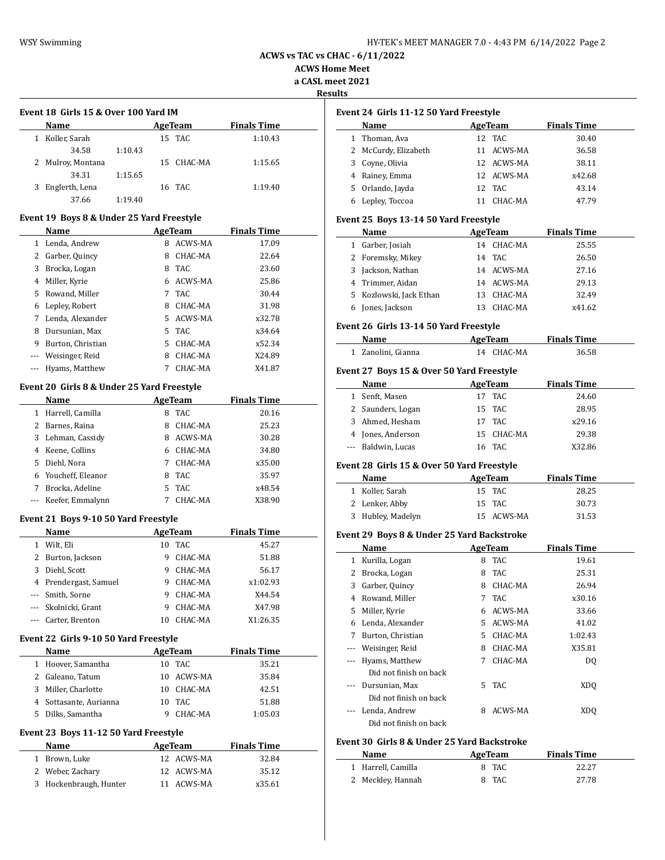$\overline{a}$ 

**ACWS vs TAC vs CHAC - 6/11/2022**

**ACWS Home Meet a CASL meet 2021**

**Results**

 $\overline{\phantom{a}}$ 

 $\sim$ 

 $\frac{1}{2}$ 

 $\overline{\phantom{0}}$ 

 $\overline{\phantom{a}}$ 

# **Event 18 Girls 15 & Over 100 Yard IM**

|   | Name              |         | AgeTeam    | <b>Finals Time</b> |  |
|---|-------------------|---------|------------|--------------------|--|
|   | Koller, Sarah     |         | 15 TAC     | 1:10.43            |  |
|   | 34.58             | 1:10.43 |            |                    |  |
|   | 2 Mulroy, Montana |         | 15 CHAC-MA | 1:15.65            |  |
|   | 34.31             | 1:15.65 |            |                    |  |
| 3 | Englerth, Lena    |         | 16 TAC     | 1:19.40            |  |
|   | 37.66             | 1:19.40 |            |                    |  |

### **Event 19 Boys 8 & Under 25 Yard Freestyle**

|    | Name              |    | AgeTeam | <b>Finals Time</b> |  |
|----|-------------------|----|---------|--------------------|--|
|    | Lenda, Andrew     | 8  | ACWS-MA | 17.09              |  |
| 2  | Garber, Quincy    | 8  | CHAC-MA | 22.64              |  |
| 3  | Brocka, Logan     | 8  | TAC.    | 23.60              |  |
| 4  | Miller, Kyrie     | 6  | ACWS-MA | 25.86              |  |
| 5. | Rowand, Miller    | 7  | TAC.    | 30.44              |  |
| 6  | Lepley, Robert    | 8  | CHAC-MA | 31.98              |  |
|    | Lenda, Alexander  | 5. | ACWS-MA | x32.78             |  |
| 8  | Dursunian. Max    | 5. | TAC     | x34.64             |  |
| 9  | Burton, Christian | 5  | CHAC-MA | x52.34             |  |
|    | Weisinger, Reid   | 8  | CHAC-MA | X24.89             |  |
|    | Hyams, Matthew    |    | CHAC-MA | X41.87             |  |

### **Event 20 Girls 8 & Under 25 Yard Freestyle**

|   | Name              |    | AgeTeam        | <b>Finals Time</b> |  |
|---|-------------------|----|----------------|--------------------|--|
| 1 | Harrell, Camilla  | 8  | TAC            | 20.16              |  |
| 2 | Barnes, Raina     | 8  | CHAC-MA        | 25.23              |  |
| 3 | Lehman, Cassidy   | 8  | <b>ACWS-MA</b> | 30.28              |  |
| 4 | Keene, Collins    | 6  | CHAC-MA        | 34.80              |  |
| 5 | Diehl, Nora       | 7  | CHAC-MA        | x35.00             |  |
| 6 | Youcheff, Eleanor | 8  | TAC.           | 35.97              |  |
|   | Brocka, Adeline   | 5. | TAC            | x48.54             |  |
|   | Keefer, Emmalynn  |    | CHAC-MA        | X38.90             |  |

### **Event 21 Boys 9-10 50 Yard Freestyle**

|   | Name                  |    | AgeTeam | <b>Finals Time</b> |  |
|---|-----------------------|----|---------|--------------------|--|
|   | Wilt, Eli             | 10 | TAC     | 45.27              |  |
| 2 | Burton, Jackson       | 9  | CHAC-MA | 51.88              |  |
| 3 | Diehl, Scott          | 9  | CHAC-MA | 56.17              |  |
|   | 4 Prendergast, Samuel | 9  | CHAC-MA | x1:02.93           |  |
|   | --- Smith, Sorne      | 9  | CHAC-MA | X44.54             |  |
|   | --- Skolnicki, Grant  | 9  | CHAC-MA | X47.98             |  |
|   | --- Carter, Brenton   | 10 | CHAC-MA | X1:26.35           |  |

### **Event 22 Girls 9-10 50 Yard Freestyle**

|    | <b>Name</b>            |    | AgeTeam    | <b>Finals Time</b> |
|----|------------------------|----|------------|--------------------|
|    | 1 Hoover, Samantha     | 10 | TAC        | 35.21              |
| 2  | Galeano, Tatum         |    | 10 ACWS-MA | 35.84              |
| 3  | Miller, Charlotte      |    | 10 CHAC-MA | 42.51              |
|    | 4 Sottasante, Aurianna | 10 | TAC.       | 51.88              |
| 5. | Dilks, Samantha        | a  | CHAC-MA    | 1:05.03            |

### **Event 23 Boys 11-12 50 Yard Freestyle**

| Name                   | AgeTeam    | <b>Finals Time</b> |
|------------------------|------------|--------------------|
| 1 Brown, Luke          | 12 ACWS-MA | 32.84              |
| 2 Weber, Zachary       | 12 ACWS-MA | 35.12              |
| 3 Hockenbraugh, Hunter | 11 ACWS-MA | x35.61             |

## **Event 24 Girls 11-12 50 Yard Freestyle**

| Name                 | AgeTeam    | <b>Finals Time</b> |  |
|----------------------|------------|--------------------|--|
| 1 Thoman, Ava        | 12 TAC     | 30.40              |  |
| 2 McCurdy, Elizabeth | 11 ACWS-MA | 36.58              |  |
| 3 Coyne, Olivia      | 12 ACWS-MA | 38.11              |  |
| 4 Rainey, Emma       | 12 ACWS-MA | x42.68             |  |
| 5 Orlando, Jayda     | 12 TAC     | 43.14              |  |
| 6 Lepley, Toccoa     | CHAC-MA    | 47.79              |  |

### **Event 25 Boys 13-14 50 Yard Freestyle**

| Name                    | AgeTeam |            | <b>Finals Time</b> |  |
|-------------------------|---------|------------|--------------------|--|
| Garber, Josiah          |         | 14 CHAC-MA | 25.55              |  |
| 2 Foremsky, Mikey       |         | 14 TAC     | 26.50              |  |
| 3 Jackson, Nathan       |         | 14 ACWS-MA | 27.16              |  |
| 4 Trimmer, Aidan        |         | 14 ACWS-MA | 29.13              |  |
| 5 Kozlowski, Jack Ethan | 13.     | CHAC-MA    | 32.49              |  |
| Jones, Jackson          |         | CHAC-MA    | x41.62             |  |

### **Event 26 Girls 13-14 50 Yard Freestyle**

| Name               | AgeTeam    | <b>Finals Time</b> |  |
|--------------------|------------|--------------------|--|
| 1 Zanolini, Gianna | 14 CHAC-MA | 36.58              |  |

### **Event 27 Boys 15 & Over 50 Yard Freestyle**

|              | Name                                        |    | AgeTeam        | <b>Finals Time</b> |  |  |
|--------------|---------------------------------------------|----|----------------|--------------------|--|--|
| $\mathbf{1}$ | Senft, Masen                                | 17 | <b>TAC</b>     | 24.60              |  |  |
| 2            | Saunders, Logan                             | 15 | <b>TAC</b>     | 28.95              |  |  |
| 3            | Ahmed, Hesham                               | 17 | <b>TAC</b>     | x29.16             |  |  |
| 4            | Jones, Anderson                             | 15 | CHAC-MA        | 29.38              |  |  |
| ---          | Baldwin, Lucas                              | 16 | TAC            | X32.86             |  |  |
|              | Event 28  Girls 15 & Over 50 Yard Freestyle |    |                |                    |  |  |
|              | Name                                        |    | <b>AgeTeam</b> | <b>Finals Time</b> |  |  |
| $\mathbf{1}$ | Koller, Sarah                               | 15 | TAC            | 28.25              |  |  |
| 2            | Lenker, Abby                                | 15 | TAC            | 30.73              |  |  |
| 3            | Hubley, Madelyn                             |    | 15 ACWS-MA     | 31.53              |  |  |
|              | Event 29  Boys 8 & Under 25 Yard Backstroke |    |                |                    |  |  |
|              | Name                                        |    | <b>AgeTeam</b> | <b>Finals Time</b> |  |  |
| 1            | Kurilla, Logan                              | 8  | <b>TAC</b>     | 19.61              |  |  |
| 2            | Brocka, Logan                               | 8  | <b>TAC</b>     | 25.31              |  |  |
| 3            | Garber, Quincy                              | 8  | CHAC-MA        | 26.94              |  |  |
| 4            | Rowand, Miller                              | 7  | <b>TAC</b>     | x30.16             |  |  |
| 5            | Miller, Kyrie                               | 6  | ACWS-MA        | 33.66              |  |  |
| 6            | Lenda, Alexander                            | 5  | ACWS-MA        | 41.02              |  |  |
| 7            | Burton, Christian                           | 5  | CHAC-MA        | 1:02.43            |  |  |
| ---          | Weisinger, Reid                             | 8  | CHAC-MA        | X35.81             |  |  |
|              | Hyams, Matthew                              | 7  | CHAC-MA        | D <sub>0</sub>     |  |  |
|              | Dal and Carolina and the chi-               |    |                |                    |  |  |

| Did not finish on back |           |     |
|------------------------|-----------|-----|
| --- Dursunian, Max     | 5 TAC     | XDO |
| Did not finish on back |           |     |
| --- Lenda, Andrew      | 8 ACWS-MA | XDO |
| Did not finish on back |           |     |

### **Event 30 Girls 8 & Under 25 Yard Backstroke**

| Name               | AgeTeam | <b>Finals Time</b> |
|--------------------|---------|--------------------|
| 1 Harrell, Camilla | 8 TAC   | 22.27              |
| 2 Meckley, Hannah  | 8 TAC   | 27.78              |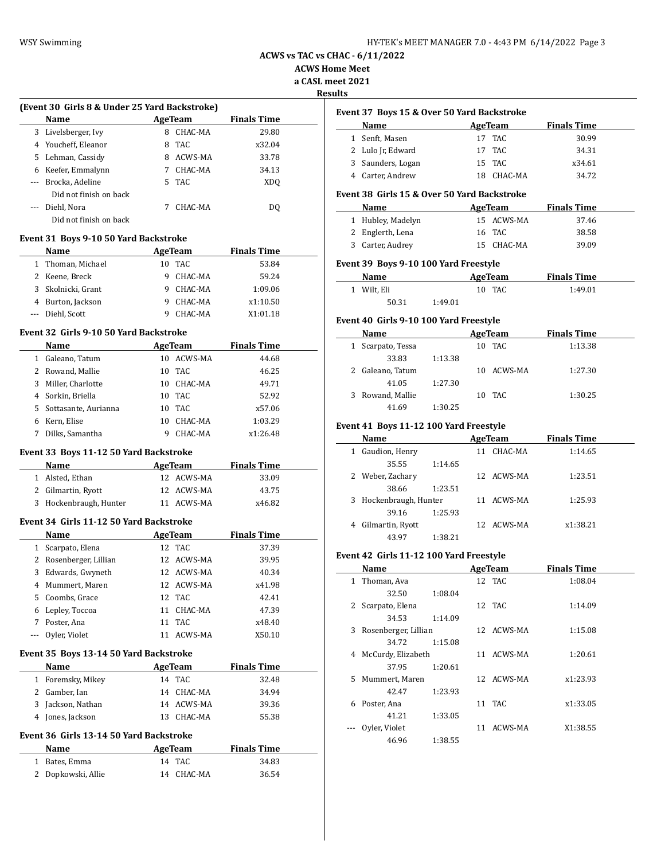| HY-TEK's MEET MANAGER 7.0 - 4:43 PM 6/14/2022 Page 3 |  |
|------------------------------------------------------|--|
|------------------------------------------------------|--|

**ACWS Home Meet**

**a CASL meet 2021**

#### **Results**

|    | (Event 30 Girls 8 & Under 25 Yard Backstroke) |    |         |                    |  |
|----|-----------------------------------------------|----|---------|--------------------|--|
|    | <b>Name</b>                                   |    | AgeTeam | <b>Finals Time</b> |  |
| 3  | Livelsberger, Ivy                             | 8  | CHAC-MA | 29.80              |  |
|    | 4 Youcheff, Eleanor                           | 8  | TAC.    | x32.04             |  |
| 5. | Lehman, Cassidy                               | 8  | ACWS-MA | 33.78              |  |
| 6  | Keefer, Emmalynn                              |    | CHAC-MA | 34.13              |  |
|    | Brocka, Adeline                               | 5. | TAC.    | XDO                |  |
|    | Did not finish on back                        |    |         |                    |  |
|    | Diehl, Nora                                   |    | CHAC-MA | DO.                |  |
|    | Did not finish on back                        |    |         |                    |  |

### **Event 31 Boys 9-10 50 Yard Backstroke**

| Name               |    |         | <b>Finals Time</b> |
|--------------------|----|---------|--------------------|
| 1 Thoman, Michael  | 10 |         | 53.84              |
| 2 Keene, Breck     |    | CHAC-MA | 59.24              |
| 3 Skolnicki, Grant |    | CHAC-MA | 1:09.06            |
| 4 Burton, Jackson  |    | CHAC-MA | x1:10.50           |
| --- Diehl, Scott   |    | CHAC-MA | X1:01.18           |
|                    |    |         | AgeTeam<br>TAC.    |

### **Event 32 Girls 9-10 50 Yard Backstroke**

 $\equiv$ 

|   | Name                   |    | AgeTeam | <b>Finals Time</b> |  |
|---|------------------------|----|---------|--------------------|--|
| 1 | Galeano, Tatum         | 10 | ACWS-MA | 44.68              |  |
|   | 2 Rowand, Mallie       | 10 | TAC     | 46.25              |  |
| 3 | Miller, Charlotte      | 10 | CHAC-MA | 49.71              |  |
|   | 4 Sorkin, Briella      | 10 | TAC     | 52.92              |  |
|   | 5 Sottasante, Aurianna | 10 | TAC.    | x57.06             |  |
| 6 | Kern, Elise            | 10 | CHAC-MA | 1:03.29            |  |
|   | Dilks, Samantha        | 9  | CHAC-MA | x1:26.48           |  |

### **Event 33 Boys 11-12 50 Yard Backstroke**

| Name                   | AgeTeam    | <b>Finals Time</b> |
|------------------------|------------|--------------------|
| 1 Alsted, Ethan        | 12 ACWS-MA | 33.09              |
| 2 Gilmartin, Ryott     | 12 ACWS-MA | 43.75              |
| 3 Hockenbraugh, Hunter | 11 ACWS-MA | x46.82             |

### **Event 34 Girls 11-12 50 Yard Backstroke**

|   | Name                   | AgeTeam |            | <b>Finals Time</b> |  |
|---|------------------------|---------|------------|--------------------|--|
|   | 1 Scarpato, Elena      | 12 TAC  |            | 37.39              |  |
|   | 2 Rosenberger, Lillian |         | 12 ACWS-MA | 39.95              |  |
|   | 3 Edwards, Gwyneth     |         | 12 ACWS-MA | 40.34              |  |
|   | 4 Mummert, Maren       |         | 12 ACWS-MA | x41.98             |  |
|   | 5 Coombs, Grace        | 12 TAC  |            | 42.41              |  |
|   | 6 Lepley, Toccoa       | 11      | CHAC-MA    | 47.39              |  |
| 7 | Poster, Ana            | 11      | TAC        | x48.40             |  |
|   | --- Oyler, Violet      |         | ACWS-MA    | X50.10             |  |

#### **Event 35 Boys 13-14 50 Yard Backstroke**

| Name                 | AgeTeam    | <b>Finals Time</b> |
|----------------------|------------|--------------------|
| Foremsky, Mikey<br>1 | 14 TAC     | 32.48              |
| 2 Gamber, Ian        | 14 CHAC-MA | 34.94              |
| 3 Jackson, Nathan    | 14 ACWS-MA | 39.36              |
| 4 Jones, Jackson     | 13 CHAC-MA | 55.38              |
|                      |            |                    |

# **Event 36 Girls 13-14 50 Yard Backstroke**

| <b>Name</b>        | AgeTeam    | <b>Finals Time</b> |
|--------------------|------------|--------------------|
| 1 Bates, Emma      | 14 TAC     | 34.83              |
| 2 Dopkowski, Allie | 14 CHAC-MA | 36.54              |

|   | Event 37 Boys 15 & Over 50 Yard Backstroke  |         |    |            |                    |  |
|---|---------------------------------------------|---------|----|------------|--------------------|--|
|   | Name                                        |         |    | AgeTeam    | <b>Finals Time</b> |  |
|   | 1 Senft, Masen                              |         | 17 | <b>TAC</b> | 30.99              |  |
| 2 | Lulo Jr, Edward                             |         | 17 | TAC.       | 34.31              |  |
| 3 | Saunders, Logan                             |         |    | 15 TAC     | x34.61             |  |
|   | 4 Carter, Andrew                            |         | 18 | CHAC-MA    | 34.72              |  |
|   | Event 38 Girls 15 & Over 50 Yard Backstroke |         |    |            |                    |  |
|   | Name                                        |         |    | AgeTeam    | <b>Finals Time</b> |  |
|   | 1 Hubley, Madelyn                           |         |    | 15 ACWS-MA | 37.46              |  |
| 2 | Englerth, Lena                              |         |    | 16 TAC     | 38.58              |  |
| 3 | Carter, Audrey                              |         |    | 15 CHAC-MA | 39.09              |  |
|   | Event 39 Boys 9-10 100 Yard Freestyle       |         |    |            |                    |  |
|   | Name                                        |         |    | AgeTeam    | <b>Finals Time</b> |  |
|   | 1 Wilt, Eli                                 |         |    | 10 TAC     | 1:49.01            |  |
|   | 50.31                                       | 1:49.01 |    |            |                    |  |
|   | Event 40 Girls 9-10 100 Yard Freestyle      |         |    |            |                    |  |
|   | Name                                        |         |    | AgeTeam    | <b>Finals Time</b> |  |
|   | 1 Scarpato, Tessa                           |         |    | 10 TAC     | 1:13.38            |  |
|   | 33.83                                       | 1:13.38 |    |            |                    |  |
| 2 | Galeano, Tatum                              |         |    | 10 ACWS-MA | 1:27.30            |  |
|   | 41.05                                       | 1:27.30 |    |            |                    |  |
| 3 | Rowand, Mallie                              |         |    | 10 TAC     | 1:30.25            |  |

# 41.69 1:30.25 **Event 41 Boys 11-12 100 Yard Freestyle**

|   | Name                 |         |    | AgeTeam    | <b>Finals Time</b> |  |
|---|----------------------|---------|----|------------|--------------------|--|
|   | Gaudion, Henry       |         | 11 | CHAC-MA    | 1:14.65            |  |
|   | 35.55                | 1:14.65 |    |            |                    |  |
|   | Weber, Zachary       |         |    | 12 ACWS-MA | 1:23.51            |  |
|   | 38.66                | 1:23.51 |    |            |                    |  |
| 3 | Hockenbraugh, Hunter |         | 11 | ACWS-MA    | 1:25.93            |  |
|   | 39.16                | 1:25.93 |    |            |                    |  |
|   | Gilmartin, Ryott     |         |    | 12 ACWS-MA | x1:38.21           |  |
|   | 43.97                | 1:38.21 |    |            |                    |  |

### **Event 42 Girls 11-12 100 Yard Freestyle**

|   | Name                 |         |    | AgeTeam    | <b>Finals Time</b> |  |
|---|----------------------|---------|----|------------|--------------------|--|
| 1 | Thoman, Ava          |         |    | 12 TAC     | 1:08.04            |  |
|   | 32.50                | 1:08.04 |    |            |                    |  |
| 2 | Scarpato, Elena      |         |    | 12 TAC     | 1:14.09            |  |
|   | 34.53                | 1:14.09 |    |            |                    |  |
| 3 | Rosenberger, Lillian |         |    | 12 ACWS-MA | 1:15.08            |  |
|   | 34.72                | 1:15.08 |    |            |                    |  |
| 4 | McCurdy, Elizabeth   |         | 11 | ACWS-MA    | 1:20.61            |  |
|   | 37.95                | 1:20.61 |    |            |                    |  |
|   | 5 Mummert, Maren     |         |    | 12 ACWS-MA | x1:23.93           |  |
|   | 42.47                | 1:23.93 |    |            |                    |  |
| 6 | Poster, Ana          |         |    | 11 TAC     | x1:33.05           |  |
|   | 41.21                | 1:33.05 |    |            |                    |  |
|   | Oyler, Violet        |         | 11 | ACWS-MA    | X1:38.55           |  |
|   | 46.96                | 1:38.55 |    |            |                    |  |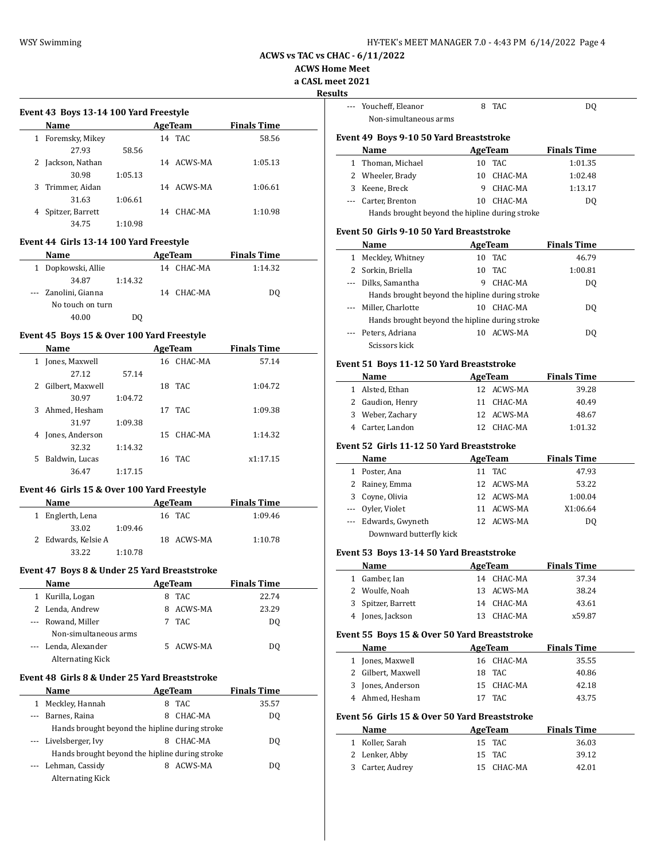**ACWS Home Meet**

**a CASL meet 2021**

**Results**

 $\overline{\phantom{a}}$ 

|   | <b>Name</b>      |         |    | AgeTeam    | <b>Finals Time</b> |
|---|------------------|---------|----|------------|--------------------|
| 1 | Foremsky, Mikey  |         |    | 14 TAC     | 58.56              |
|   | 27.93            | 58.56   |    |            |                    |
| 2 | Jackson, Nathan  |         |    | 14 ACWS-MA | 1:05.13            |
|   | 30.98            | 1:05.13 |    |            |                    |
| 3 | Trimmer, Aidan   |         | 14 | ACWS-MA    | 1:06.61            |
|   | 31.63            | 1:06.61 |    |            |                    |
| 4 | Spitzer, Barrett |         | 14 | CHAC-MA    | 1:10.98            |
|   | 34.75            | 1:10.98 |    |            |                    |
|   |                  |         |    |            |                    |

### **Event 44 Girls 13-14 100 Yard Freestyle**

| Name                   |         |    | AgeTeam    | <b>Finals Time</b> |  |
|------------------------|---------|----|------------|--------------------|--|
| Dopkowski, Allie<br>1. |         | 14 | CHAC-MA    | 1:14.32            |  |
| 34.87                  | 1:14.32 |    |            |                    |  |
| --- Zanolini, Gianna   |         |    | 14 CHAC-MA | DQ                 |  |
| No touch on turn       |         |    |            |                    |  |
| 40.00                  |         |    |            |                    |  |

### **Event 45 Boys 15 & Over 100 Yard Freestyle**

|    | Name             |         |    | AgeTeam    | <b>Finals Time</b> |  |
|----|------------------|---------|----|------------|--------------------|--|
|    | Jones, Maxwell   |         |    | 16 CHAC-MA | 57.14              |  |
|    | 27.12            | 57.14   |    |            |                    |  |
| 2  | Gilbert, Maxwell |         | 18 | TAC.       | 1:04.72            |  |
|    | 30.97            | 1:04.72 |    |            |                    |  |
| 3. | Ahmed, Hesham    |         |    | 17 TAC     | 1:09.38            |  |
|    | 31.97            | 1:09.38 |    |            |                    |  |
| 4  | Jones, Anderson  |         |    | 15 CHAC-MA | 1:14.32            |  |
|    | 32.32            | 1:14.32 |    |            |                    |  |
| 5  | Baldwin, Lucas   |         |    | 16 TAC     | x1:17.15           |  |
|    | 36.47            | 1:17.15 |    |            |                    |  |
|    |                  |         |    |            |                    |  |

### **Event 46 Girls 15 & Over 100 Yard Freestyle**

| <b>Name</b>         |         | AgeTeam    | <b>Finals Time</b> |  |
|---------------------|---------|------------|--------------------|--|
| 1 Englerth, Lena    |         | 16 TAC     | 1:09.46            |  |
| 33.02               | 1:09.46 |            |                    |  |
| 2 Edwards, Kelsie A |         | 18 ACWS-MA | 1:10.78            |  |
| 33.22               | 1:10.78 |            |                    |  |

## **Event 47 Boys 8 & Under 25 Yard Breaststroke**

|    | Name                                            |   | AgeTeam | <b>Finals Time</b> |  |
|----|-------------------------------------------------|---|---------|--------------------|--|
| 1. | Kurilla, Logan                                  | 8 | TAC     | 22.74              |  |
|    | 2 Lenda, Andrew                                 |   | ACWS-MA | 23.29              |  |
|    | --- Rowand, Miller                              |   | 7 TAC   | DO.                |  |
|    | Non-simultaneous arms                           |   |         |                    |  |
|    | --- Lenda, Alexander<br><b>Alternating Kick</b> |   | ACWS-MA | DO.                |  |

## **Event 48 Girls 8 & Under 25 Yard Breaststroke**

|          | Name                                           |   | AgeTeam | <b>Finals Time</b> |  |
|----------|------------------------------------------------|---|---------|--------------------|--|
| 1        | Meckley, Hannah                                | 8 | TAC.    | 35.57              |  |
| $\cdots$ | Barnes, Raina                                  | 8 | CHAC-MA | DO.                |  |
|          | Hands brought beyond the hipline during stroke |   |         |                    |  |
|          | --- Livelsberger, Ivy                          | 8 | CHAC-MA | DO.                |  |
|          | Hands brought beyond the hipline during stroke |   |         |                    |  |
|          | --- Lehman, Cassidy                            | 8 | ACWS-MA | DO.                |  |
|          | <b>Alternating Kick</b>                        |   |         |                    |  |

| eet 2021<br>ılts |                                                |    |                |                    |  |
|------------------|------------------------------------------------|----|----------------|--------------------|--|
| ---              | Youcheff, Eleanor                              |    | 8 TAC          | DQ                 |  |
|                  | Non-simultaneous arms                          |    |                |                    |  |
|                  | Event 49 Boys 9-10 50 Yard Breaststroke        |    |                |                    |  |
|                  | Name                                           |    | <b>AgeTeam</b> | <b>Finals Time</b> |  |
| $\mathbf{1}$     | Thoman, Michael                                | 10 | TAC            | 1:01.35            |  |
|                  | 2 Wheeler, Brady                               | 10 | CHAC-MA        | 1:02.48            |  |
|                  | 3 Keene, Breck                                 | 9  | CHAC-MA        | 1:13.17            |  |
|                  | --- Carter, Brenton                            | 10 | CHAC-MA        | DQ                 |  |
|                  | Hands brought beyond the hipline during stroke |    |                |                    |  |
|                  | Event 50 Girls 9-10 50 Yard Breaststroke       |    |                |                    |  |
|                  | Name                                           |    | <b>AgeTeam</b> | <b>Finals Time</b> |  |
|                  | 1 Meckley, Whitney                             |    | 10 TAC         | 46.79              |  |
|                  | 2 Sorkin, Briella                              | 10 | <b>TAC</b>     | 1:00.81            |  |
|                  | --- Dilks, Samantha                            | 9  | CHAC-MA        | DQ                 |  |
|                  | Hands brought beyond the hipline during stroke |    |                |                    |  |
|                  | Miller, Charlotte                              |    | 10 CHAC-MA     | DQ                 |  |
|                  | Hands brought beyond the hipline during stroke |    |                |                    |  |
|                  | Peters, Adriana                                |    | 10 ACWS-MA     | DQ                 |  |
|                  | Scissors kick                                  |    |                |                    |  |
|                  | Event 51 Boys 11-12 50 Yard Breaststroke       |    |                |                    |  |
|                  | Name                                           |    | <b>AgeTeam</b> | <b>Finals Time</b> |  |
| $\mathbf{1}$     | Alsted, Ethan                                  |    | 12 ACWS-MA     | 39.28              |  |
|                  | 2 Gaudion, Henry                               | 11 | CHAC-MA        | 40.49              |  |
|                  | 3 Weber, Zachary                               |    | 12 ACWS-MA     | 48.67              |  |
|                  | 4 Carter, Landon                               |    | 12 CHAC-MA     | 1:01.32            |  |
|                  | Event 52 Girls 11-12 50 Yard Breaststroke      |    |                |                    |  |
|                  | Name                                           |    | AgeTeam        | <b>Finals Time</b> |  |
|                  | 1 Poster, Ana                                  | 11 | <b>TAC</b>     | 47.93              |  |
|                  | 2 Rainey, Emma                                 |    | 12 ACWS-MA     | 53.22              |  |
|                  | 3 Coyne, Olivia                                |    | 12 ACWS-MA     | 1:00.04            |  |
|                  | --- Oyler, Violet                              |    | 11 ACWS-MA     | X1:06.64           |  |
| ---              | Edwards, Gwyneth                               |    | 12 ACWS-MA     | DQ                 |  |
|                  | Downward butterfly kick                        |    |                |                    |  |
|                  | $F2.0$ $F3.0$ $F4.0$ $F8.0$ $F9.0$             |    |                |                    |  |

### **Event 53 Boys 13-14 50 Yard Breaststroke**

| Name               | AgeTeam    | <b>Finals Time</b> |  |
|--------------------|------------|--------------------|--|
| 1 Gamber, Ian      | 14 CHAC-MA | 37.34              |  |
| 2 Woulfe, Noah     | 13 ACWS-MA | 38.24              |  |
| 3 Spitzer, Barrett | 14 CHAC-MA | 43.61              |  |
| 4 Jones, Jackson   | 13 CHAC-MA | x59.87             |  |

### **Event 55 Boys 15 & Over 50 Yard Breaststroke**

|   | Name                                          |    | AgeTeam    | <b>Finals Time</b> |
|---|-----------------------------------------------|----|------------|--------------------|
| 1 | Jones, Maxwell                                |    | 16 CHAC-MA | 35.55              |
| 2 | Gilbert, Maxwell                              |    | 18 TAC     | 40.86              |
|   | 3 Jones, Anderson                             |    | 15 CHAC-MA | 42.18              |
|   | 4 Ahmed, Hesham                               |    | 17 TAC     | 43.75              |
|   | Event 56 Girls 15 & Over 50 Yard Breaststroke |    |            |                    |
|   | Name                                          |    | AgeTeam    | <b>Finals Time</b> |
|   | Koller, Sarah                                 |    | 15 TAC     | 36.03              |
| 2 | Lenker, Abby                                  |    | 15 TAC     | 39.12              |
| 3 | Carter, Audrey                                | 15 | CHAC-MA    | 42.01              |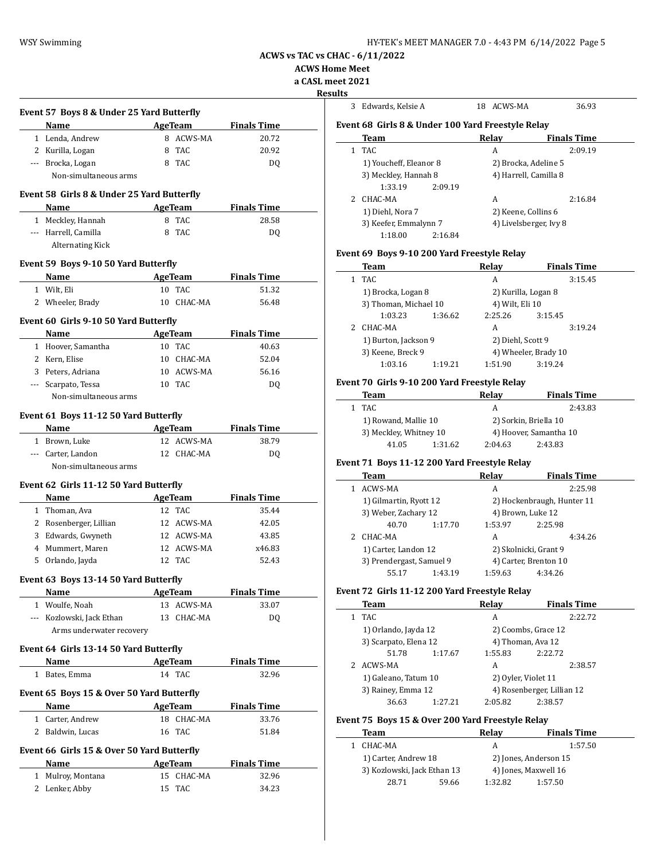| HY-TEK's MEET MANAGER 7.0 - 4:43 PM 6/14/2022 Page 5 |  |  |
|------------------------------------------------------|--|--|
|------------------------------------------------------|--|--|

**ACWS Home Meet**

**a CASL meet 2021**

**Results**

I

| Event 57 Boys 8 & Under 25 Yard Butterfly                                                                                                                                                                                     |                      |                    |  |
|-------------------------------------------------------------------------------------------------------------------------------------------------------------------------------------------------------------------------------|----------------------|--------------------|--|
| Name                                                                                                                                                                                                                          | AgeTeam              | <b>Finals Time</b> |  |
| 1 Lenda, Andrew                                                                                                                                                                                                               | 8 ACWS-MA            | 20.72              |  |
| 2 Kurilla, Logan                                                                                                                                                                                                              | 8 TAC                | 20.92              |  |
| --- Brocka, Logan                                                                                                                                                                                                             | 8 TAC                | DQ                 |  |
| Non-simultaneous arms                                                                                                                                                                                                         |                      |                    |  |
| Event 58 Girls 8 & Under 25 Yard Butterfly                                                                                                                                                                                    |                      |                    |  |
| Name and the same of the same of the same of the same of the same of the same of the same of the same of the same of the same of the same of the same of the same of the same of the same of the same of the same of the same | <b>AgeTeam</b>       | <b>Finals Time</b> |  |
| 1 Meckley, Hannah                                                                                                                                                                                                             | 8 TAC                | 28.58              |  |
| --- Harrell, Camilla                                                                                                                                                                                                          | 8 TAC                | DO.                |  |
| <b>Alternating Kick</b>                                                                                                                                                                                                       |                      |                    |  |
| Event 59 Boys 9-10 50 Yard Butterfly                                                                                                                                                                                          |                      |                    |  |
| Name                                                                                                                                                                                                                          | AgeTeam              | <b>Finals Time</b> |  |
| 1 Wilt, Eli                                                                                                                                                                                                                   | 10 TAC               | 51.32              |  |
| 2 Wheeler, Brady                                                                                                                                                                                                              | 10 CHAC-MA           | 56.48              |  |
| Event 60 Girls 9-10 50 Yard Butterfly                                                                                                                                                                                         |                      |                    |  |
| Name                                                                                                                                                                                                                          | AgeTeam              | <b>Finals Time</b> |  |
| 1 Hoover, Samantha                                                                                                                                                                                                            | 10 TAC               | 40.63              |  |
| 2 Kern, Elise                                                                                                                                                                                                                 | 10 CHAC-MA           | 52.04              |  |
| 3 Peters, Adriana                                                                                                                                                                                                             | 10 ACWS-MA           | 56.16              |  |
| --- Scarpato, Tessa                                                                                                                                                                                                           | 10 TAC               | DQ                 |  |
| Non-simultaneous arms                                                                                                                                                                                                         |                      |                    |  |
| Event 61 Boys 11-12 50 Yard Butterfly                                                                                                                                                                                         |                      |                    |  |
| <b>Name</b>                                                                                                                                                                                                                   | <b>AgeTeam</b>       | <b>Finals Time</b> |  |
| 1 Brown, Luke                                                                                                                                                                                                                 | 12 ACWS-MA           | 38.79              |  |
| --- Carter, Landon                                                                                                                                                                                                            | 12 CHAC-MA           | DQ                 |  |
| Non-simultaneous arms                                                                                                                                                                                                         |                      |                    |  |
| Event 62 Girls 11-12 50 Yard Butterfly                                                                                                                                                                                        |                      |                    |  |
| <b>Name</b>                                                                                                                                                                                                                   | <b>AgeTeam</b>       | <b>Finals Time</b> |  |
| 1 Thoman, Ava                                                                                                                                                                                                                 | 12 TAC               | 35.44              |  |
| 2 Rosenberger, Lillian                                                                                                                                                                                                        | 12 ACWS-MA           | 42.05              |  |
|                                                                                                                                                                                                                               |                      | 43.85              |  |
|                                                                                                                                                                                                                               |                      |                    |  |
| 3 Edwards, Gwyneth                                                                                                                                                                                                            | 12 ACWS-MA           |                    |  |
| 4 Mummert, Maren                                                                                                                                                                                                              | 12 ACWS-MA           | x46.83             |  |
| 5 Orlando, Jayda                                                                                                                                                                                                              | 12 TAC               | 52.43              |  |
| Event 63 Boys 13-14 50 Yard Butterfly                                                                                                                                                                                         |                      |                    |  |
| Name                                                                                                                                                                                                                          | AgeTeam              | <b>Finals Time</b> |  |
| 1 Woulfe, Noah                                                                                                                                                                                                                | 13 ACWS-MA           | 33.07              |  |
| --- Kozlowski, Jack Ethan                                                                                                                                                                                                     | 13 CHAC-MA           | DQ                 |  |
| Arms underwater recovery                                                                                                                                                                                                      |                      |                    |  |
| Event 64 Girls 13-14 50 Yard Butterfly                                                                                                                                                                                        |                      |                    |  |
| Name                                                                                                                                                                                                                          | AgeTeam              | <b>Finals Time</b> |  |
| 1 Bates, Emma                                                                                                                                                                                                                 | 14 TAC               | 32.96              |  |
| Event 65 Boys 15 & Over 50 Yard Butterfly                                                                                                                                                                                     |                      |                    |  |
| Name                                                                                                                                                                                                                          | <b>AgeTeam</b>       | <b>Finals Time</b> |  |
| 1 Carter, Andrew                                                                                                                                                                                                              | 18 CHAC-MA           | 33.76              |  |
| 2 Baldwin, Lucas                                                                                                                                                                                                              | 16 TAC               | 51.84              |  |
| Event 66 Girls 15 & Over 50 Yard Butterfly                                                                                                                                                                                    |                      |                    |  |
| Name                                                                                                                                                                                                                          | AgeTeam              | <b>Finals Time</b> |  |
| 1 Mulroy, Montana<br>2 Lenker, Abby                                                                                                                                                                                           | 15 CHAC-MA<br>15 TAC | 32.96<br>34.23     |  |

| ults         |                                                           |                                 |                                          |  |  |
|--------------|-----------------------------------------------------------|---------------------------------|------------------------------------------|--|--|
| 3            | Edwards, Kelsie A                                         | 18 ACWS-MA                      | 36.93                                    |  |  |
|              | Event 68 Girls 8 & Under 100 Yard Freestyle Relay<br>Team | Relay                           | <b>Finals Time</b>                       |  |  |
| 1            | <b>TAC</b>                                                | A                               | 2:09.19                                  |  |  |
|              | 1) Youcheff, Eleanor 8                                    | 2) Brocka, Adeline 5            |                                          |  |  |
|              | 3) Meckley, Hannah 8                                      | 4) Harrell, Camilla 8           |                                          |  |  |
|              | 1:33.19                                                   |                                 |                                          |  |  |
|              | 2:09.19                                                   |                                 |                                          |  |  |
| 2            | CHAC-MA                                                   | A                               | 2:16.84                                  |  |  |
|              | 1) Diehl, Nora 7                                          | 2) Keene, Collins 6             |                                          |  |  |
|              | 3) Keefer, Emmalynn 7<br>1:18.00<br>2:16.84               | 4) Livelsberger, Ivy 8          |                                          |  |  |
|              | Event 69 Boys 9-10 200 Yard Freestyle Relay               |                                 |                                          |  |  |
|              | Team                                                      | <b>Relay</b>                    | <b>Finals Time</b>                       |  |  |
| 1            | TAC                                                       | A                               | 3:15.45                                  |  |  |
|              | 1) Brocka, Logan 8                                        | 2) Kurilla, Logan 8             |                                          |  |  |
|              | 3) Thoman, Michael 10                                     | 4) Wilt, Eli 10                 |                                          |  |  |
|              | 1:03.23<br>1:36.62                                        | 2:25.26                         | 3:15.45                                  |  |  |
| 2            | CHAC-MA                                                   | A                               | 3:19.24                                  |  |  |
|              |                                                           |                                 |                                          |  |  |
|              | 1) Burton, Jackson 9                                      | 2) Diehl, Scott 9               |                                          |  |  |
|              | 3) Keene, Breck 9                                         | 4) Wheeler, Brady 10            |                                          |  |  |
|              | 1:03.16<br>1:19.21                                        | 1:51.90                         | 3:19.24                                  |  |  |
|              | Event 70 Girls 9-10 200 Yard Freestyle Relay<br>Team      | Relav                           | <b>Finals Time</b>                       |  |  |
| 1            | TAC                                                       | A                               | 2:43.83                                  |  |  |
|              |                                                           |                                 |                                          |  |  |
|              | 1) Rowand, Mallie 10                                      | 2) Sorkin, Briella 10           |                                          |  |  |
|              | 3) Meckley, Whitney 10                                    |                                 | 4) Hoover, Samantha 10                   |  |  |
|              | 41.05<br>1:31.62                                          | 2:04.63                         | 2:43.83                                  |  |  |
|              | Event 71 Boys 11-12 200 Yard Freestyle Relay<br>Team      | Relay                           | <b>Finals Time</b>                       |  |  |
|              |                                                           |                                 |                                          |  |  |
|              | 1 ACWS-MA                                                 | A                               | 2:25.98                                  |  |  |
|              | 1) Gilmartin, Ryott 12                                    | 2) Hockenbraugh, Hunter 11      |                                          |  |  |
|              | 3) Weber, Zachary 12                                      | 4) Brown, Luke 12               |                                          |  |  |
|              | 40.70<br>1:17.70                                          | 1:53.97                         | 2:25.98                                  |  |  |
|              | 2 CHAC-MA                                                 | A                               | 4:34.26                                  |  |  |
|              | 1) Carter, Landon 12                                      | 2) Skolnicki, Grant 9           |                                          |  |  |
|              | 3) Prendergast, Samuel 9                                  | 4) Carter, Brenton 10           |                                          |  |  |
|              | 55.17<br>1:43.19                                          | 1:59.63                         | 4:34.26                                  |  |  |
|              | Event 72 Girls 11-12 200 Yard Freestyle Relay             |                                 |                                          |  |  |
|              | <b>Team</b>                                               | Relay                           | <b>Finals Time</b>                       |  |  |
| $\mathbf{1}$ | TAC                                                       | A                               | 2:22.72                                  |  |  |
|              | 1) Orlando, Jayda 12                                      | 2) Coombs, Grace 12             |                                          |  |  |
|              | 3) Scarpato, Elena 12                                     | 4) Thoman, Ava 12               |                                          |  |  |
|              | 51.78<br>1:17.67                                          | 1:55.83                         | 2:22.72                                  |  |  |
|              | 2 ACWS-MA                                                 | A                               | 2:38.57                                  |  |  |
|              | 1) Galeano, Tatum 10                                      | 2) Oyler, Violet 11             |                                          |  |  |
|              | 3) Rainey, Emma 12                                        |                                 | 4) Rosenberger, Lillian 12               |  |  |
|              | 36.63<br>1:27.21                                          | 2:05.82                         | 2:38.57                                  |  |  |
|              |                                                           |                                 |                                          |  |  |
|              | Event 75 Boys 15 & Over 200 Yard Freestyle Relay          |                                 |                                          |  |  |
|              | <b>Team</b>                                               | <b>Relay</b>                    |                                          |  |  |
|              | 1 CHAC-MA                                                 | A                               |                                          |  |  |
|              | 1) Carter, Andrew 18                                      |                                 | 2) Jones, Anderson 15                    |  |  |
|              |                                                           |                                 |                                          |  |  |
|              | 3) Kozlowski, Jack Ethan 13<br>28.71<br>59.66             | 4) Jones, Maxwell 16<br>1:32.82 | <b>Finals Time</b><br>1:57.50<br>1:57.50 |  |  |
|              |                                                           |                                 |                                          |  |  |